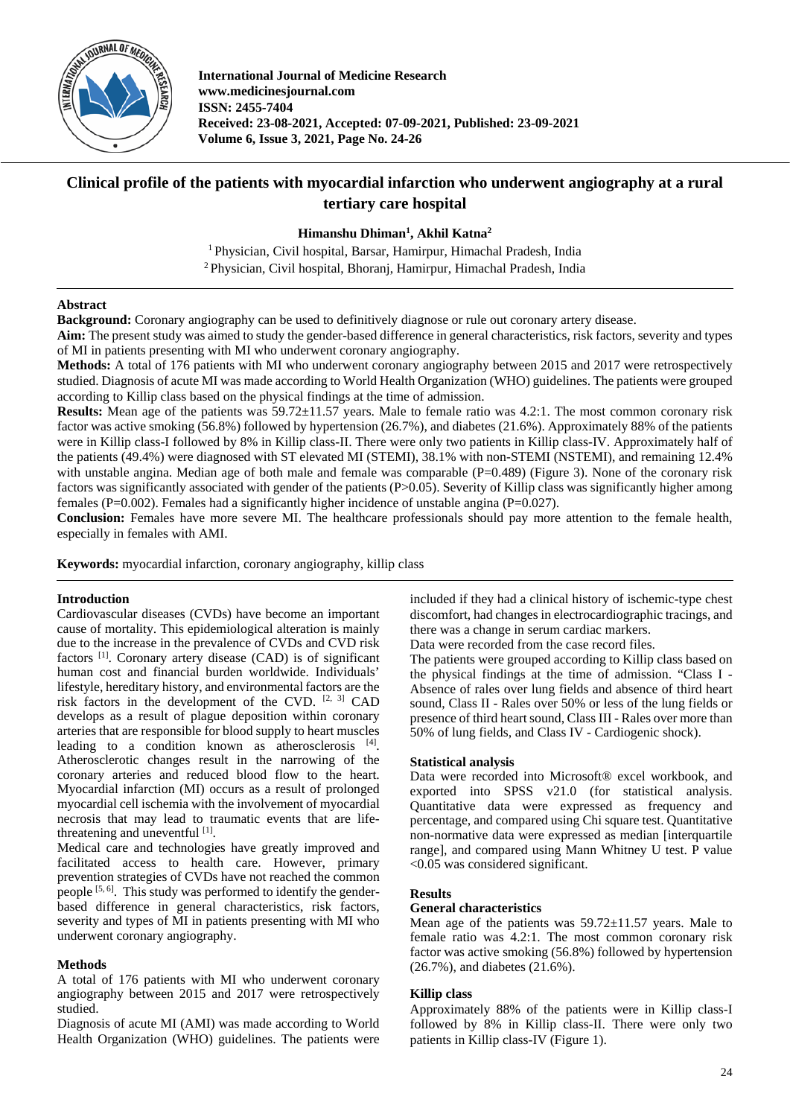

**International Journal of Medicine Research www.medicinesjournal.com ISSN: 2455-7404 Received: 23-08-2021, Accepted: 07-09-2021, Published: 23-09-2021 Volume 6, Issue 3, 2021, Page No. 24-26**

# **Clinical profile of the patients with myocardial infarction who underwent angiography at a rural tertiary care hospital**

**Himanshu Dhiman1 , Akhil Katna2**

<sup>1</sup> Physician, Civil hospital, Barsar, Hamirpur, Himachal Pradesh, India <sup>2</sup> Physician, Civil hospital, Bhoranj, Hamirpur, Himachal Pradesh, India

# **Abstract**

**Background:** Coronary angiography can be used to definitively diagnose or rule out coronary artery disease.

**Aim:** The present study was aimed to study the gender-based difference in general characteristics, risk factors, severity and types of MI in patients presenting with MI who underwent coronary angiography.

**Methods:** A total of 176 patients with MI who underwent coronary angiography between 2015 and 2017 were retrospectively studied. Diagnosis of acute MI was made according to World Health Organization (WHO) guidelines. The patients were grouped according to Killip class based on the physical findings at the time of admission.

**Results:** Mean age of the patients was 59.72±11.57 years. Male to female ratio was 4.2:1. The most common coronary risk factor was active smoking (56.8%) followed by hypertension (26.7%), and diabetes (21.6%). Approximately 88% of the patients were in Killip class-I followed by 8% in Killip class-II. There were only two patients in Killip class-IV. Approximately half of the patients (49.4%) were diagnosed with ST elevated MI (STEMI), 38.1% with non-STEMI (NSTEMI), and remaining 12.4% with unstable angina. Median age of both male and female was comparable  $(P=0.489)$  (Figure 3). None of the coronary risk factors was significantly associated with gender of the patients (P>0.05). Severity of Killip class was significantly higher among females (P=0.002). Females had a significantly higher incidence of unstable angina (P=0.027).

**Conclusion:** Females have more severe MI. The healthcare professionals should pay more attention to the female health, especially in females with AMI.

**Keywords:** myocardial infarction, coronary angiography, killip class

# **Introduction**

Cardiovascular diseases (CVDs) have become an important cause of mortality. This epidemiological alteration is mainly due to the increase in the prevalence of CVDs and CVD risk factors<sup>[1]</sup>. Coronary artery disease (CAD) is of significant human cost and financial burden worldwide. Individuals' lifestyle, hereditary history, and environmental factors are the risk factors in the development of the CVD. [2, 3] CAD develops as a result of plague deposition within coronary arteries that are responsible for blood supply to heart muscles leading to a condition known as atherosclerosis [4]. Atherosclerotic changes result in the narrowing of the coronary arteries and reduced blood flow to the heart. Myocardial infarction (MI) occurs as a result of prolonged myocardial cell ischemia with the involvement of myocardial necrosis that may lead to traumatic events that are lifethreatening and uneventful [1].

Medical care and technologies have greatly improved and facilitated access to health care. However, primary prevention strategies of CVDs have not reached the common people <sup>[5, 6]</sup>. This study was performed to identify the genderbased difference in general characteristics, risk factors, severity and types of MI in patients presenting with MI who underwent coronary angiography.

# **Methods**

A total of 176 patients with MI who underwent coronary angiography between 2015 and 2017 were retrospectively studied.

Diagnosis of acute MI (AMI) was made according to World Health Organization (WHO) guidelines. The patients were

included if they had a clinical history of ischemic-type chest discomfort, had changes in electrocardiographic tracings, and there was a change in serum cardiac markers.

Data were recorded from the case record files.

The patients were grouped according to Killip class based on the physical findings at the time of admission. "Class I - Absence of rales over lung fields and absence of third heart sound, Class II - Rales over 50% or less of the lung fields or presence of third heart sound, Class III - Rales over more than 50% of lung fields, and Class IV - Cardiogenic shock).

# **Statistical analysis**

Data were recorded into Microsoft® excel workbook, and exported into SPSS v21.0 (for statistical analysis. Quantitative data were expressed as frequency and percentage, and compared using Chi square test. Quantitative non-normative data were expressed as median [interquartile range], and compared using Mann Whitney U test. P value <0.05 was considered significant.

# **Results**

# **General characteristics**

Mean age of the patients was  $59.72 \pm 11.57$  years. Male to female ratio was 4.2:1. The most common coronary risk factor was active smoking (56.8%) followed by hypertension (26.7%), and diabetes (21.6%).

# **Killip class**

Approximately 88% of the patients were in Killip class-I followed by 8% in Killip class-II. There were only two patients in Killip class-IV (Figure 1).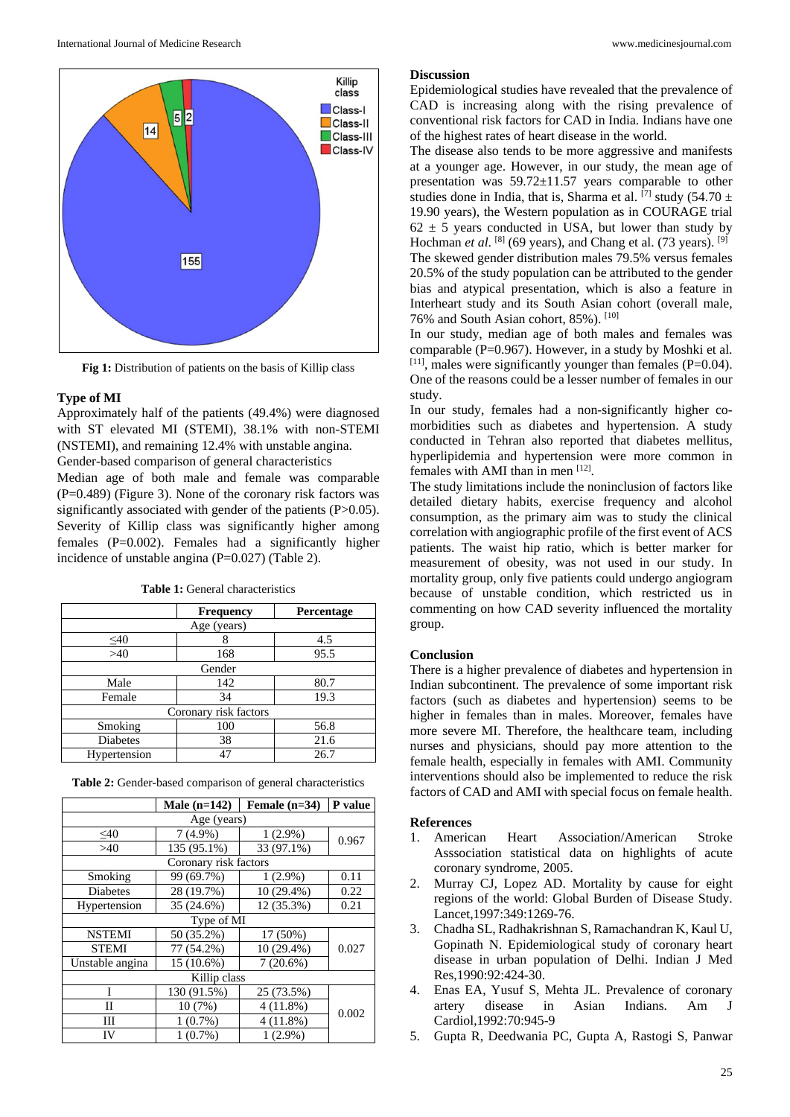

**Fig 1:** Distribution of patients on the basis of Killip class

#### **Type of MI**

Approximately half of the patients (49.4%) were diagnosed with ST elevated MI (STEMI), 38.1% with non-STEMI (NSTEMI), and remaining 12.4% with unstable angina. Gender-based comparison of general characteristics

Median age of both male and female was comparable  $(P=0.489)$  (Figure 3). None of the coronary risk factors was significantly associated with gender of the patients (P>0.05). Severity of Killip class was significantly higher among females (P=0.002). Females had a significantly higher incidence of unstable angina (P=0.027) (Table 2).

|                       | <b>Frequency</b> | Percentage |  |  |
|-----------------------|------------------|------------|--|--|
| Age (years)           |                  |            |  |  |
| $\leq 40$             |                  | 4.5        |  |  |
| $>40$                 | 168              | 95.5       |  |  |
| Gender                |                  |            |  |  |
| Male                  | 142              | 80.7       |  |  |
| Female                | 34               | 19.3       |  |  |
| Coronary risk factors |                  |            |  |  |
| Smoking               | 100              | 56.8       |  |  |
| <b>Diabetes</b>       | 38               | 21.6       |  |  |
| Hypertension          | 47               | 26.7       |  |  |

**Table 1:** General characteristics

|                       | Male $(n=142)$ | Female $(n=34)$ | P value |  |
|-----------------------|----------------|-----------------|---------|--|
| Age (years)           |                |                 |         |  |
| $\leq 40$             | $7(4.9\%)$     | $1(2.9\%)$      | 0.967   |  |
| >40                   | 135 (95.1%)    | 33 (97.1%)      |         |  |
| Coronary risk factors |                |                 |         |  |
| Smoking               | 99 (69.7%)     | $1(2.9\%)$      | 0.11    |  |
| Diabetes              | 28 (19.7%)     | 10 (29.4%)      | 0.22    |  |
| Hypertension          | 35 (24.6%)     | 12 (35.3%)      | 0.21    |  |
| Type of MI            |                |                 |         |  |
| <b>NSTEMI</b>         | 50 (35.2%)     | 17 (50%)        |         |  |
| <b>STEMI</b>          | 77 (54.2%)     | 10 (29.4%)      | 0.027   |  |
| Unstable angina       | 15 (10.6%)     | $7(20.6\%)$     |         |  |
| Killip class          |                |                 |         |  |
| T                     | 130 (91.5%)    | 25 (73.5%)      |         |  |
| П                     | 10(7%)         | 4(11.8%)        | 0.002   |  |
| Ш                     | $1(0.7\%)$     | 4(11.8%)        |         |  |
| IV                    | $1(0.7\%)$     | $1(2.9\%)$      |         |  |

#### **Discussion**

Epidemiological studies have revealed that the prevalence of CAD is increasing along with the rising prevalence of conventional risk factors for CAD in India. Indians have one of the highest rates of heart disease in the world.

The disease also tends to be more aggressive and manifests at a younger age. However, in our study, the mean age of presentation was 59.72±11.57 years comparable to other studies done in India, that is, Sharma et al.  $\frac{7}{7}$  study (54.70 ± 19.90 years), the Western population as in COURAGE trial  $62 \pm 5$  years conducted in USA, but lower than study by Hochman *et al.* <sup>[8]</sup> (69 years), and Chang et al. (73 years). <sup>[9]</sup> The skewed gender distribution males 79.5% versus females 20.5% of the study population can be attributed to the gender bias and atypical presentation, which is also a feature in Interheart study and its South Asian cohort (overall male, 76% and South Asian cohort, 85%). [10]

In our study, median age of both males and females was comparable (P=0.967). However, in a study by Moshki et al.  $[11]$ , males were significantly younger than females (P=0.04). One of the reasons could be a lesser number of females in our study.

In our study, females had a non-significantly higher comorbidities such as diabetes and hypertension. A study conducted in Tehran also reported that diabetes mellitus, hyperlipidemia and hypertension were more common in females with AMI than in men [12].

The study limitations include the noninclusion of factors like detailed dietary habits, exercise frequency and alcohol consumption, as the primary aim was to study the clinical correlation with angiographic profile of the first event of ACS patients. The waist hip ratio, which is better marker for measurement of obesity, was not used in our study. In mortality group, only five patients could undergo angiogram because of unstable condition, which restricted us in commenting on how CAD severity influenced the mortality group.

#### **Conclusion**

There is a higher prevalence of diabetes and hypertension in Indian subcontinent. The prevalence of some important risk factors (such as diabetes and hypertension) seems to be higher in females than in males. Moreover, females have more severe MI. Therefore, the healthcare team, including nurses and physicians, should pay more attention to the female health, especially in females with AMI. Community interventions should also be implemented to reduce the risk factors of CAD and AMI with special focus on female health.

#### **References**

- 1. American Heart Association/American Stroke Asssociation statistical data on highlights of acute coronary syndrome, 2005.
- 2. Murray CJ, Lopez AD. Mortality by cause for eight regions of the world: Global Burden of Disease Study. Lancet,1997:349:1269-76.
- 3. Chadha SL, Radhakrishnan S, Ramachandran K, Kaul U, Gopinath N. Epidemiological study of coronary heart disease in urban population of Delhi. Indian J Med Res,1990:92:424-30.
- 4. Enas EA, Yusuf S, Mehta JL. Prevalence of coronary artery disease in Asian Indians. Am J Cardiol,1992:70:945-9
- 5. Gupta R, Deedwania PC, Gupta A, Rastogi S, Panwar